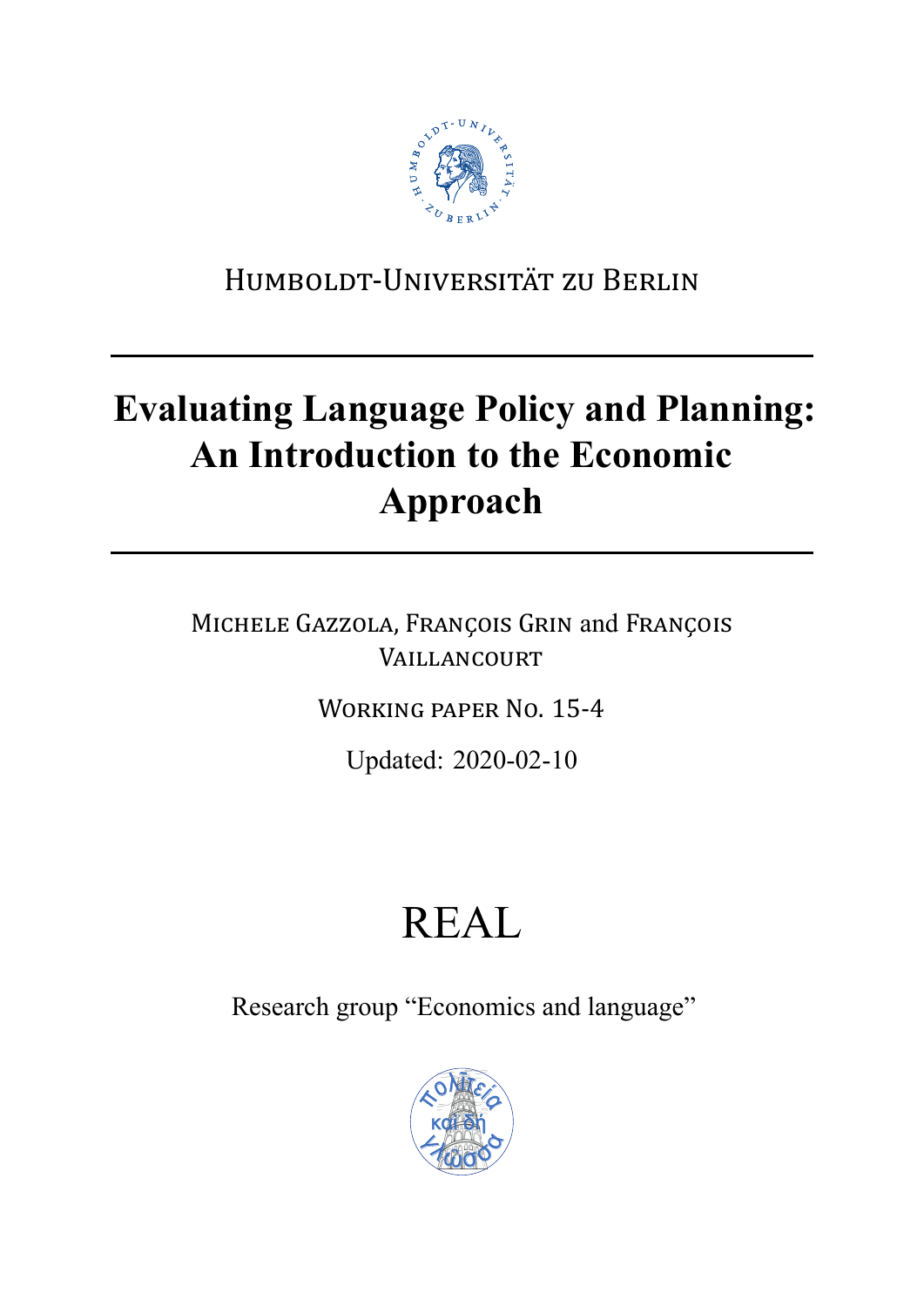

## HUMBOLDT‐UNIVERSITÄT ZU BERLIN

## **Evaluating Language Policy and Planning: An Introduction to the Economic Approach**

MICHELE GAZZOLA, FRANÇOIS GRIN and FRANÇOIS VAILLANCOURT

WORKING PAPER NO. 15‐4

Updated: 2020-02-10

# REAL

Research group "Economics and language"